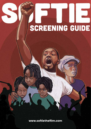# Screening Guide

www.softiethefilm.com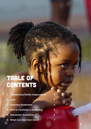# Table of CONTENTS

| 1. Introduction/Softie Impact Goals                                   | $\overline{2}$ |
|-----------------------------------------------------------------------|----------------|
| 2. Cast<br>3. Directors Statement<br>4. How to Facilitate a Screening | 3              |
|                                                                       | 4              |
|                                                                       | 5              |
| <b>5. Discussion Questions</b>                                        | 6              |
| 6. What Can I Do from Here?                                           | 7              |

1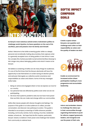# **International**

**As Kenya's most notorious activist enters mainstream politics to challenge social injustice, he faces questions on the cost of his sacrifices, past and present, from his family and himself.**

Karibu! Welcome to the Softie screening guide. Softie is a deeply personal and emotionally riveting documentary that captures what is a generally accepted norm of doing politics in East Africa. It uses the complex life of photo journalist turned activist Boniface Mwangi to tell a larger story about belonging, politics and what it means to be Kenyan.

We believe a screening of Softie can do many things for audiences. It is one of the first times that the Kenyan electorate will have the opportunity to see themselves on screen during an election period, and seriously interrogate our collective social conscience and responsibilities as voters and citizens. Some of the key messages Softie holds:

- 1. Being an active and engaged citizen is how we express our love for our country.
- 2. Our personal lives are affected by politics even when we are not participating.
- 3. We know that systemic problems exist, but we have more power than we think. We can make real change within our communities.

Softie often leaves people with diverse thoughts and feelings. The purpose of this guide is to invite audience's to reflect, provoke conversation, and discover new pathways to action. This guide is intended to accompany screenings of Softie wherever possible, including, community centres, home viewing, churches, residential estates, schools etc. We hope that the film inspires, particularly Kenyan viewers, to believe in their power and challenge their leaders from community to national level.

#### Softie Impact **CAMPAIGN** Goals



**Create a space where Kenyans can question and challenge each other on their responsibility as voters and the quality of leaders we elect.**



**Enable an environment for increased active citizen participation leading to more progressive and accountable leadership.**



**Inform and embolden viewers to challenge the status quo in their communities through organizing themselves to push for reforms, support grassroots leaders, and recognize and use the power of their vote.**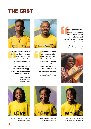## The Cast



**"When you see activists on the streets fighting for your rights, it's not just them making the sacrifice. They have families at home who may be unseen but their role can never be discounted. The struggle is not a one-man struggle, it's a family, it's all of us."** 

> — Njeri Mwangi, Political Activist, Boniface's Wife



**"I want better for my country, a country where everyone has a decent shot in life. Doesn't matter if you are poor. Doesn't matter what tribe or gender. That you matter to this country and this country knows you exist."** 

— Boniface "Softie" Mwangi

**"At your grassroot level, at your own level, you can fight for things you believe in. We need people to speak up, stand out and be a little brave."** 

> — Khadija Mohammed, Boniface's Campaign Leader





Nate Mwangi - Boniface and Njeri's Oldest Child



Naila Mwangi - Boniface and Njeri's Middle Child



Jabu Mwangi - Boniface and Njeri's Youngest Child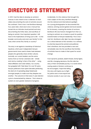# DIRECTOR'S STATEMENT

In 2013 I had the idea to develop an activism manual. It was meant to be a collection of short videos documenting the work of activists around the continent. That is how I met Boniface Mwangi. Four years later, what was to be a manual has turned into an intimate visual portrait and story documenting the thrills, fears, and sacrifices of being an activist. One important question I still have is the implications of living such a life  $-$  to the broader community and one's own family? In this case, what comes first, family or country?

The story is set against a backdrop of historical injustices, which post-independent Kenyan governments have used to fester hate between people who generally share similar cultures. Ironically, our current leaders use the same tactics that our former colonizers did – divide and rule by creating "a fear of the other" – using tribal affiliation and voter bribery. Our country has grappled with 'Fake News' for over 50 years. Kenyan politicians have spent decades perfecting the dark art of spreading deep falsehoods amongst people, to make sure they despise one another. The outcome is that every 5-year election cycle is characterized by violence. This is done to sustain an even greater obstacle of progress.

Incidentally, it is this violence that brought the main subject of this story, Boniface Mwangi, into the national and international spotlight. As a young photographer he documented this violence, winning several global and local awards for his bravery, covering the stories of survivors. Boniface's life was forever changed from then on, turning to activism as a means to push for positive transformation of Kenyan leadership. This is how I met him. Boniface's wife, Njeri, has also emerged as a critical element of this narrative. As a witness to what lies beyond the activist and politician that is Boniface, she has provided a rare and remarkable view into the sacrifices that families of activists have to make in their quest for social change.

From dynamic protests, death threats, family fights, and life-changing decisions, this film tells the story of their remarkable journey. In a world where sowing seeds of division continues to

4

be encouraged, I hope that telling this story will inspire you to fight for justice and a more equal and inclusive society in your own way.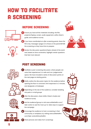# How to Facilitate a Screening

#### Before Screening





- 2 If you have coordinated an after screening panel, share the film's key messages (page 2) to those on the panel BEFORE the screening so they have time to prepare.
- **3** Review the discussion questions/topics ahead of the event and, based on time constraints, highlight certain questions that feel most relevant







#### Post Screening

• Facilitate a post-screening discussion, where people can voice their experiences in a safe and non-judgemental space. We have included a series of discussion points on the next page as starting points. 1



- Briefly outline the discussion topics for the audience before opening the floor to comment, limit responses to 2 minutes, and designate a timekeeper 2
- 3 Depending on the size of the audience, consider breaking into pairs or small groups
- 4 After the discussion, share Softie Citizen's Guide and Audience Survey
- $\overline{\phantom{a}}$  Ask the audience/group to visit www.softiethefilm.com/ take-action to see the most up-to-date ways to support the campaign.
- 6 Encourage the audience to host a screening in their community or workplace, by visiting www.softiethefilm. com/take-action#showthefilm







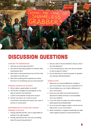# Discussion Questions

#### **STARTING THE CONVERSATION**

- 1. What do you think about the film?
- 2. How did you feel about politics or activism after watching the film?
- 3. Was there a character/scene from the film that resonated most with you?
- 4. Was there anything that surprised you about the story? Or something new you have learned?

#### **PERSONAL SACRIFICE OF ACTIVISTS**

- 5. What makes a good leader or activist?
- 6. Has the film changed your perception on the idea of activism and activists?
- 7. Is there a line between family and country?
- 8. Women are shown as crucial in social movements. How does this impact your view of women in movements?

#### **RESPONSIBILITIES AS VOTERS AND CITIZENS/ PERSONAL IS POLITICAL**

- 1. Having watched the film, who is responsible for putting in the right leaders?
- 2. Having watched the film, How are you feeling about the upcoming elections?
- 3. Did you vote in the last elections, will you vote in the next elections?
- 4. If you are planning to vote, how will you decide on who to place in office?
- 5. Do you feel that you have the power to question your elected officials/leaders?

#### **TAKING ACTION**

- 1. Where do you see possibilities for change in your community? How can you contribute to it?
- 2. Do you believe you can make a difference in your community?
- 3. Have you ever taken any action/activity to demand for better services or accountability from your leaders?
- 4. If not, why have not taken any action towards better governance/leadership?
- 5. Do you have the support system or know how to take action in your community?
- 6. What motivation or support would help you take action against injustice or bad Governance?